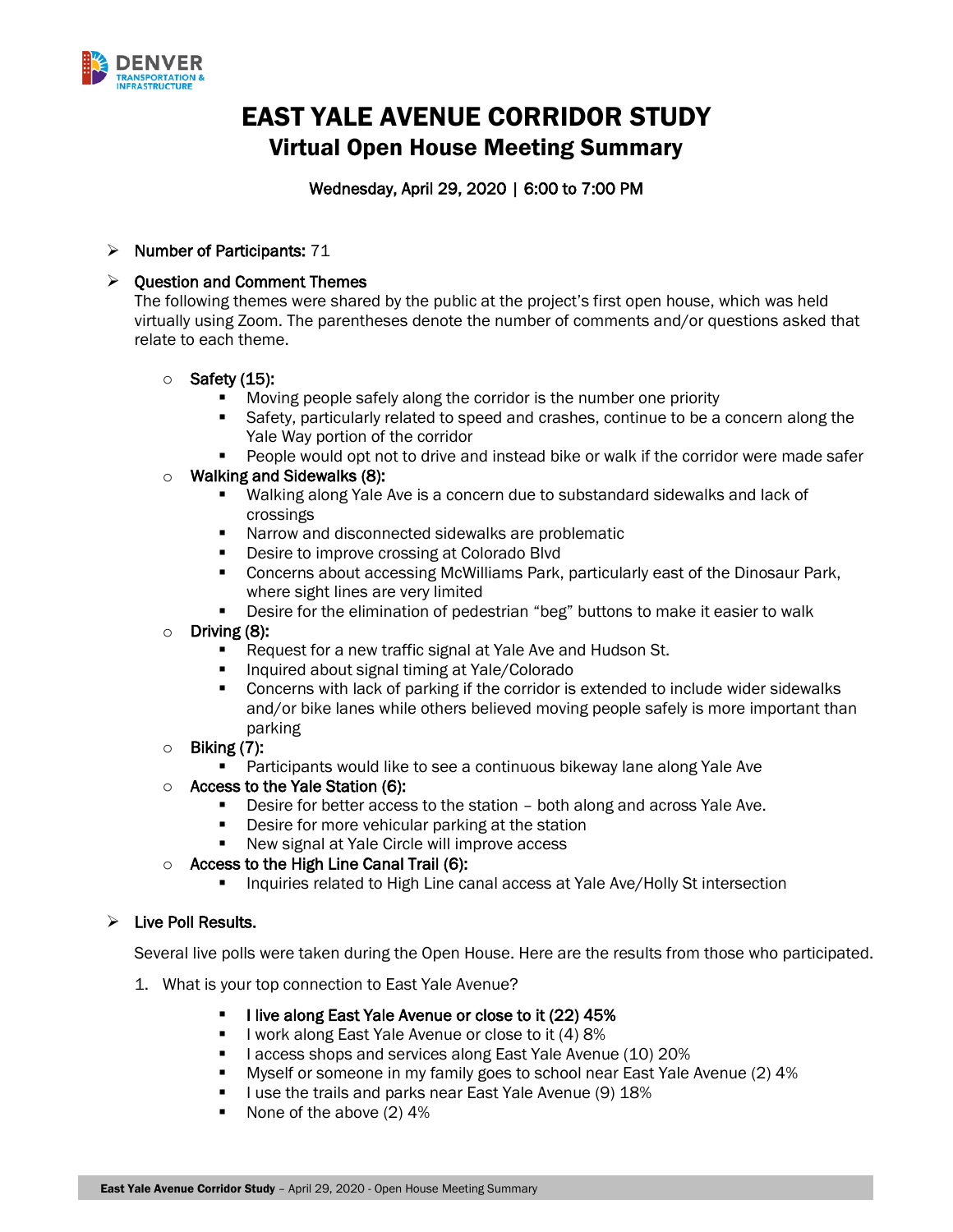

# EAST YALE AVENUE CORRIDOR STUDY Virtual Open House Meeting Summary

# Wednesday, April 29, 2020 | 6:00 to 7:00 PM

# ➢ Number of Participants: 71

# ➢ Question and Comment Themes

The following themes were shared by the public at the project's first open house, which was held virtually using Zoom. The parentheses denote the number of comments and/or questions asked that relate to each theme.

#### $\circ$  Safety (15):

- Moving people safely along the corridor is the number one priority
- **Example 3** Safety, particularly related to speed and crashes, continue to be a concern along the Yale Way portion of the corridor
- People would opt not to drive and instead bike or walk if the corridor were made safer

#### $\circ$  Walking and Sidewalks (8):

- Walking along Yale Ave is a concern due to substandard sidewalks and lack of crossings
- Narrow and disconnected sidewalks are problematic
- Desire to improve crossing at Colorado Blvd
- Concerns about accessing McWilliams Park, particularly east of the Dinosaur Park, where sight lines are very limited
- **EXE** Desire for the elimination of pedestrian "beg" buttons to make it easier to walk
- Driving  $(8)$ :
	- Request for a new traffic signal at Yale Ave and Hudson St.
	- Inquired about signal timing at Yale/Colorado
	- Concerns with lack of parking if the corridor is extended to include wider sidewalks and/or bike lanes while others believed moving people safely is more important than parking
- $\circ$  Biking (7):
	- Participants would like to see a continuous bikeway lane along Yale Ave
- o Access to the Yale Station (6):
	- **•** Desire for better access to the station both along and across Yale Ave.
	- **•** Desire for more vehicular parking at the station
	- New signal at Yale Circle will improve access

#### o Access to the High Line Canal Trail (6):

**EXED** Inquiries related to High Line canal access at Yale Ave/Holly St intersection

# ➢ Live Poll Results.

Several live polls were taken during the Open House. Here are the results from those who participated.

- 1. What is your top connection to East Yale Avenue?
	- I live along East Yale Avenue or close to it (22) 45%
	- I work along East Yale Avenue or close to it (4) 8%
	- I access shops and services along East Yale Avenue (10) 20%
	- Myself or someone in my family goes to school near East Yale Avenue (2) 4%
	- I use the trails and parks near East Yale Avenue (9) 18%
	- None of the above (2) 4%